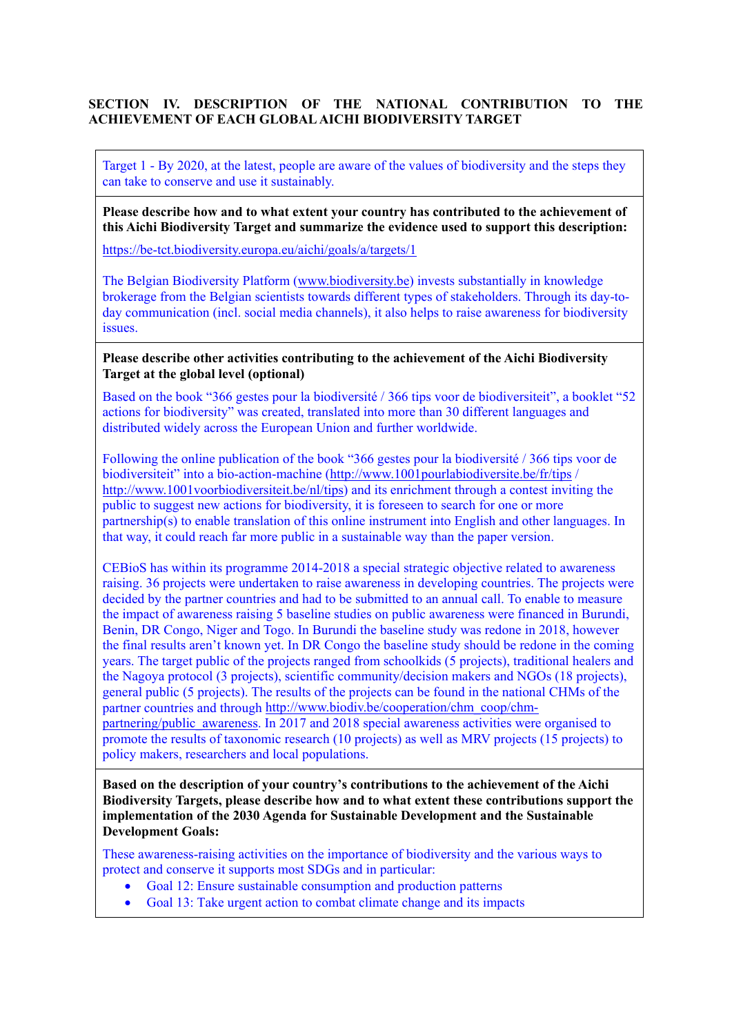# **SECTION IV. DESCRIPTION OF THE NATIONAL CONTRIBUTION TO THE ACHIEVEMENT OF EACH GLOBAL AICHI BIODIVERSITY TARGET**

Target 1 - By 2020, at the latest, people are aware of the values of biodiversity and the steps they can take to conserve and use it sustainably.

**Please describe how and to what extent your country has contributed to the achievement of this Aichi Biodiversity Target and summarize the evidence used to support this description:**

<https://be-tct.biodiversity.europa.eu/aichi/goals/a/targets/1>

The Belgian Biodiversity Platform [\(www.biodiversity.be\)](http://www.biodiversity.be/) invests substantially in knowledge brokerage from the Belgian scientists towards different types of stakeholders. Through its day-today communication (incl. social media channels), it also helps to raise awareness for biodiversity issues.

**Please describe other activities contributing to the achievement of the Aichi Biodiversity Target at the global level (optional)**

Based on the book "366 gestes pour la biodiversité / 366 tips voor de biodiversiteit", a booklet "52 actions for biodiversity" was created, translated into more than 30 different languages and distributed widely across the European Union and further worldwide.

Following the online publication of the book "366 gestes pour la biodiversité / 366 tips voor de biodiversiteit" into a bio-action-machine [\(http://www.1001pourlabiodiversite.be/fr/tips](http://www.1001pourlabiodiversite.be/fr/tips) / [http://www.1001voorbiodiversiteit.be/nl/tips\)](http://www.1001voorbiodiversiteit.be/nl/tips) and its enrichment through a contest inviting the public to suggest new actions for biodiversity, it is foreseen to search for one or more partnership(s) to enable translation of this online instrument into English and other languages. In that way, it could reach far more public in a sustainable way than the paper version.

CEBioS has within its programme 2014-2018 a special strategic objective related to awareness raising. 36 projects were undertaken to raise awareness in developing countries. The projects were decided by the partner countries and had to be submitted to an annual call. To enable to measure the impact of awareness raising 5 baseline studies on public awareness were financed in Burundi, Benin, DR Congo, Niger and Togo. In Burundi the baseline study was redone in 2018, however the final results aren't known yet. In DR Congo the baseline study should be redone in the coming years. The target public of the projects ranged from schoolkids (5 projects), traditional healers and the Nagoya protocol (3 projects), scientific community/decision makers and NGOs (18 projects), general public (5 projects). The results of the projects can be found in the national CHMs of the partner countries and through [http://www.biodiv.be/cooperation/chm\\_coop/chm](http://www.biodiv.be/cooperation/chm_coop/chm-partnering/public_awareness)partnering/public awareness. In 2017 and 2018 special awareness activities were organised to promote the results of taxonomic research (10 projects) as well as MRV projects (15 projects) to policy makers, researchers and local populations.

**Based on the description of your country's contributions to the achievement of the Aichi Biodiversity Targets, please describe how and to what extent these contributions support the implementation of the 2030 Agenda for Sustainable Development and the Sustainable Development Goals:**

These awareness-raising activities on the importance of biodiversity and the various ways to protect and conserve it supports most SDGs and in particular:

- Goal 12: Ensure sustainable consumption and production patterns
- Goal 13: Take urgent action to combat climate change and its impacts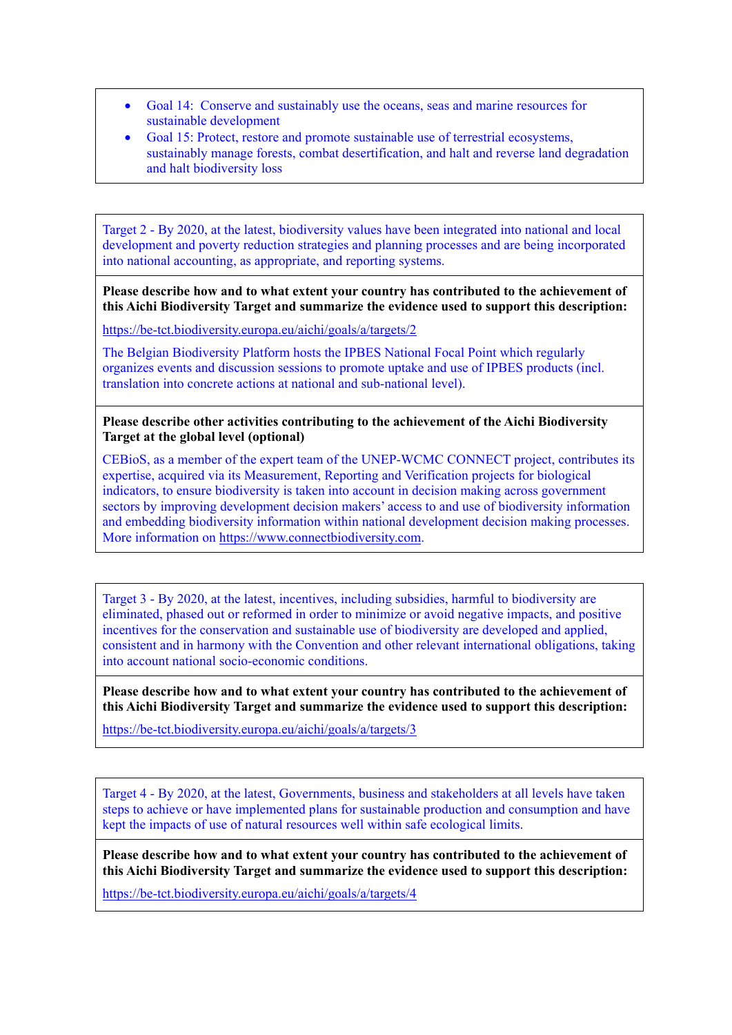- Goal 14: Conserve and sustainably use the oceans, seas and marine resources for sustainable development
- Goal 15: Protect, restore and promote sustainable use of terrestrial ecosystems, sustainably manage forests, combat desertification, and halt and reverse land degradation and halt biodiversity loss

Target 2 - By 2020, at the latest, biodiversity values have been integrated into national and local development and poverty reduction strategies and planning processes and are being incorporated into national accounting, as appropriate, and reporting systems.

**Please describe how and to what extent your country has contributed to the achievement of this Aichi Biodiversity Target and summarize the evidence used to support this description:**

<https://be-tct.biodiversity.europa.eu/aichi/goals/a/targets/2>

The Belgian Biodiversity Platform hosts the IPBES National Focal Point which regularly organizes events and discussion sessions to promote uptake and use of IPBES products (incl. translation into concrete actions at national and sub-national level).

#### **Please describe other activities contributing to the achievement of the Aichi Biodiversity Target at the global level (optional)**

CEBioS, as a member of the expert team of the UNEP-WCMC CONNECT project, contributes its expertise, acquired via its Measurement, Reporting and Verification projects for biological indicators, to ensure biodiversity is taken into account in decision making across government sectors by improving development decision makers' access to and use of biodiversity information and embedding biodiversity information within national development decision making processes. More information on [https://www.connectbiodiversity.com.](https://www.connectbiodiversity.com/)

Target 3 - By 2020, at the latest, incentives, including subsidies, harmful to biodiversity are eliminated, phased out or reformed in order to minimize or avoid negative impacts, and positive incentives for the conservation and sustainable use of biodiversity are developed and applied, consistent and in harmony with the Convention and other relevant international obligations, taking into account national socio-economic conditions.

**Please describe how and to what extent your country has contributed to the achievement of this Aichi Biodiversity Target and summarize the evidence used to support this description:**

<https://be-tct.biodiversity.europa.eu/aichi/goals/a/targets/3>

Target 4 - By 2020, at the latest, Governments, business and stakeholders at all levels have taken steps to achieve or have implemented plans for sustainable production and consumption and have kept the impacts of use of natural resources well within safe ecological limits.

**Please describe how and to what extent your country has contributed to the achievement of this Aichi Biodiversity Target and summarize the evidence used to support this description:**

<https://be-tct.biodiversity.europa.eu/aichi/goals/a/targets/4>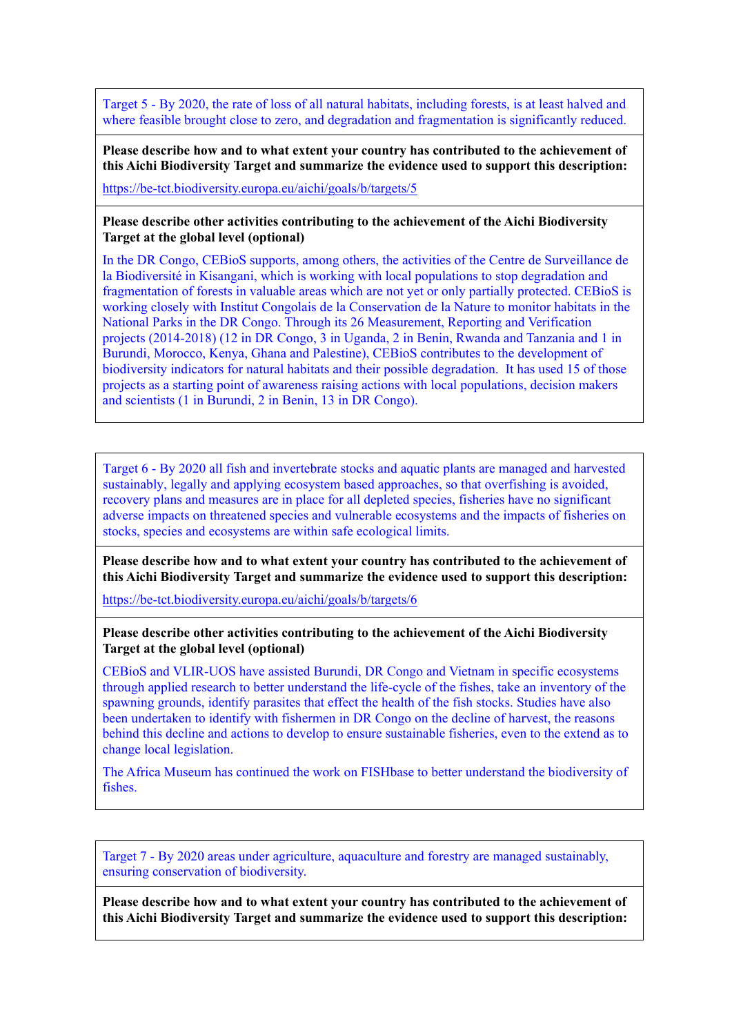Target 5 - By 2020, the rate of loss of all natural habitats, including forests, is at least halved and where feasible brought close to zero, and degradation and fragmentation is significantly reduced.

**Please describe how and to what extent your country has contributed to the achievement of this Aichi Biodiversity Target and summarize the evidence used to support this description:**

<https://be-tct.biodiversity.europa.eu/aichi/goals/b/targets/5>

**Please describe other activities contributing to the achievement of the Aichi Biodiversity Target at the global level (optional)**

In the DR Congo, CEBioS supports, among others, the activities of the Centre de Surveillance de la Biodiversité in Kisangani, which is working with local populations to stop degradation and fragmentation of forests in valuable areas which are not yet or only partially protected. CEBioS is working closely with Institut Congolais de la Conservation de la Nature to monitor habitats in the National Parks in the DR Congo. Through its 26 Measurement, Reporting and Verification projects (2014-2018) (12 in DR Congo, 3 in Uganda, 2 in Benin, Rwanda and Tanzania and 1 in Burundi, Morocco, Kenya, Ghana and Palestine), CEBioS contributes to the development of biodiversity indicators for natural habitats and their possible degradation. It has used 15 of those projects as a starting point of awareness raising actions with local populations, decision makers and scientists (1 in Burundi, 2 in Benin, 13 in DR Congo).

Target 6 - By 2020 all fish and invertebrate stocks and aquatic plants are managed and harvested sustainably, legally and applying ecosystem based approaches, so that overfishing is avoided, recovery plans and measures are in place for all depleted species, fisheries have no significant adverse impacts on threatened species and vulnerable ecosystems and the impacts of fisheries on stocks, species and ecosystems are within safe ecological limits.

**Please describe how and to what extent your country has contributed to the achievement of this Aichi Biodiversity Target and summarize the evidence used to support this description:**

<https://be-tct.biodiversity.europa.eu/aichi/goals/b/targets/6>

**Please describe other activities contributing to the achievement of the Aichi Biodiversity Target at the global level (optional)**

CEBioS and VLIR-UOS have assisted Burundi, DR Congo and Vietnam in specific ecosystems through applied research to better understand the life-cycle of the fishes, take an inventory of the spawning grounds, identify parasites that effect the health of the fish stocks. Studies have also been undertaken to identify with fishermen in DR Congo on the decline of harvest, the reasons behind this decline and actions to develop to ensure sustainable fisheries, even to the extend as to change local legislation.

The Africa Museum has continued the work on FISHbase to better understand the biodiversity of fishes.

Target 7 - By 2020 areas under agriculture, aquaculture and forestry are managed sustainably, ensuring conservation of biodiversity.

**Please describe how and to what extent your country has contributed to the achievement of this Aichi Biodiversity Target and summarize the evidence used to support this description:**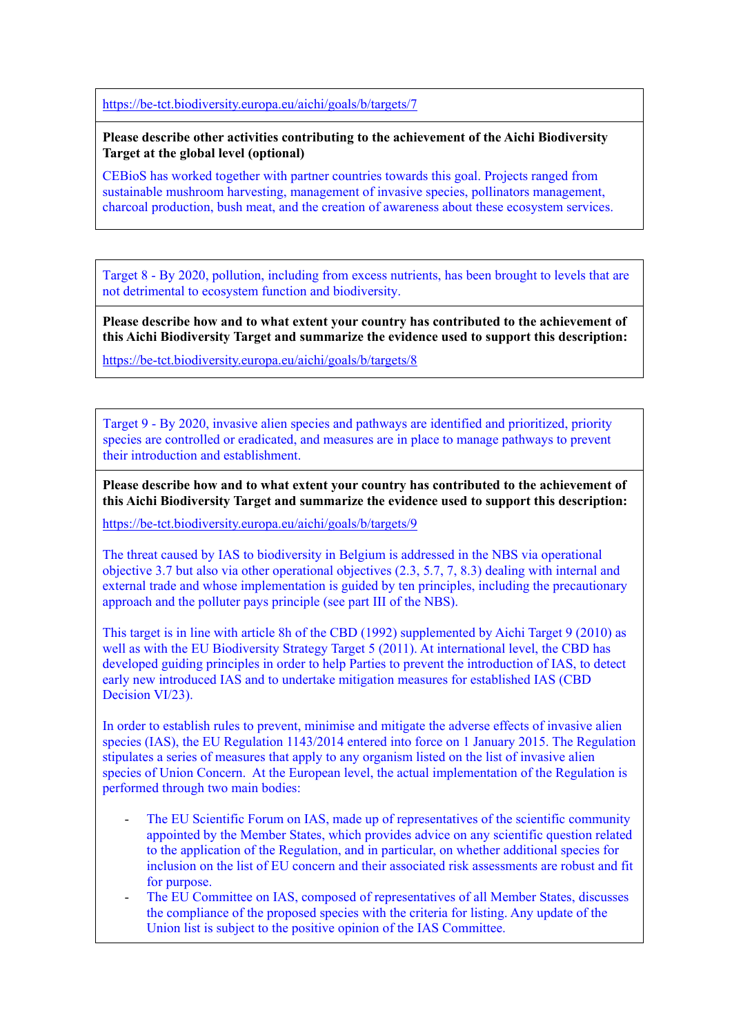<https://be-tct.biodiversity.europa.eu/aichi/goals/b/targets/7>

**Please describe other activities contributing to the achievement of the Aichi Biodiversity Target at the global level (optional)**

CEBioS has worked together with partner countries towards this goal. Projects ranged from sustainable mushroom harvesting, management of invasive species, pollinators management, charcoal production, bush meat, and the creation of awareness about these ecosystem services.

Target 8 - By 2020, pollution, including from excess nutrients, has been brought to levels that are not detrimental to ecosystem function and biodiversity.

**Please describe how and to what extent your country has contributed to the achievement of this Aichi Biodiversity Target and summarize the evidence used to support this description:**

<https://be-tct.biodiversity.europa.eu/aichi/goals/b/targets/8>

Target 9 - By 2020, invasive alien species and pathways are identified and prioritized, priority species are controlled or eradicated, and measures are in place to manage pathways to prevent their introduction and establishment.

**Please describe how and to what extent your country has contributed to the achievement of this Aichi Biodiversity Target and summarize the evidence used to support this description:**

<https://be-tct.biodiversity.europa.eu/aichi/goals/b/targets/9>

The threat caused by IAS to biodiversity in Belgium is addressed in the NBS via operational objective 3.7 but also via other operational objectives (2.3, 5.7, 7, 8.3) dealing with internal and external trade and whose implementation is guided by ten principles, including the precautionary approach and the polluter pays principle (see part III of the NBS).

This target is in line with article 8h of the CBD (1992) supplemented by Aichi Target 9 (2010) as well as with the EU Biodiversity Strategy Target 5 (2011). At international level, the CBD has developed guiding principles in order to help Parties to prevent the introduction of IAS, to detect early new introduced IAS and to undertake mitigation measures for established IAS (CBD Decision VI/23).

In order to establish rules to prevent, minimise and mitigate the adverse effects of invasive alien species (IAS), the EU Regulation 1143/2014 entered into force on 1 January 2015. The Regulation stipulates a series of measures that apply to any organism listed on the list of invasive alien species of Union Concern. At the European level, the actual implementation of the Regulation is performed through two main bodies:

- The EU Scientific Forum on IAS, made up of representatives of the scientific community appointed by the Member States, which provides advice on any scientific question related to the application of the Regulation, and in particular, on whether additional species for inclusion on the list of EU concern and their associated risk assessments are robust and fit for purpose.
- The EU Committee on IAS, composed of representatives of all Member States, discusses the compliance of the proposed species with the criteria for listing. Any update of the Union list is subject to the positive opinion of the IAS Committee.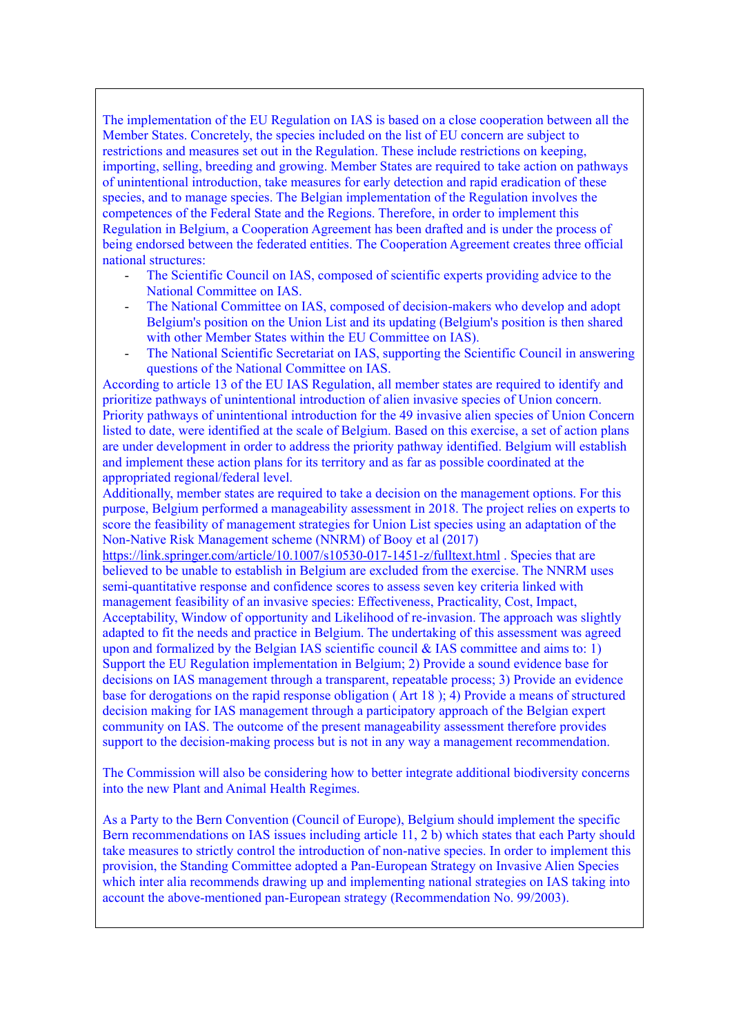The implementation of the EU Regulation on IAS is based on a close cooperation between all the Member States. Concretely, the species included on the list of EU concern are subject to restrictions and measures set out in the Regulation. These include restrictions on keeping, importing, selling, breeding and growing. Member States are required to take action on pathways of unintentional introduction, take measures for early detection and rapid eradication of these species, and to manage species. The Belgian implementation of the Regulation involves the competences of the Federal State and the Regions. Therefore, in order to implement this Regulation in Belgium, a Cooperation Agreement has been drafted and is under the process of being endorsed between the federated entities. The Cooperation Agreement creates three official national structures:

- The Scientific Council on IAS, composed of scientific experts providing advice to the National Committee on IAS.
- The National Committee on IAS, composed of decision-makers who develop and adopt Belgium's position on the Union List and its updating (Belgium's position is then shared with other Member States within the EU Committee on IAS).
- The National Scientific Secretariat on IAS, supporting the Scientific Council in answering questions of the National Committee on IAS.

According to article 13 of the EU IAS Regulation, all member states are required to identify and prioritize pathways of unintentional introduction of alien invasive species of Union concern. Priority pathways of unintentional introduction for the 49 invasive alien species of Union Concern listed to date, were identified at the scale of Belgium. Based on this exercise, a set of action plans are under development in order to address the priority pathway identified. Belgium will establish and implement these action plans for its territory and as far as possible coordinated at the appropriated regional/federal level.

Additionally, member states are required to take a decision on the management options. For this purpose, Belgium performed a manageability assessment in 2018. The project relies on experts to score the feasibility of management strategies for Union List species using an adaptation of the Non-Native Risk Management scheme (NNRM) of Booy et al (2017)

<https://link.springer.com/article/10.1007/s10530-017-1451-z/fulltext.html> . Species that are believed to be unable to establish in Belgium are excluded from the exercise. The NNRM uses semi-quantitative response and confidence scores to assess seven key criteria linked with management feasibility of an invasive species: Effectiveness, Practicality, Cost, Impact, Acceptability, Window of opportunity and Likelihood of re-invasion. The approach was slightly adapted to fit the needs and practice in Belgium. The undertaking of this assessment was agreed upon and formalized by the Belgian IAS scientific council  $\&$  IAS committee and aims to: 1) Support the EU Regulation implementation in Belgium; 2) Provide a sound evidence base for decisions on IAS management through a transparent, repeatable process; 3) Provide an evidence base for derogations on the rapid response obligation ( Art 18 ); 4) Provide a means of structured decision making for IAS management through a participatory approach of the Belgian expert community on IAS. The outcome of the present manageability assessment therefore provides support to the decision-making process but is not in any way a management recommendation.

The Commission will also be considering how to better integrate additional biodiversity concerns into the new Plant and Animal Health Regimes.

As a Party to the Bern Convention (Council of Europe), Belgium should implement the specific Bern recommendations on IAS issues including article 11, 2 b) which states that each Party should take measures to strictly control the introduction of non-native species. In order to implement this provision, the Standing Committee adopted a Pan-European Strategy on Invasive Alien Species which inter alia recommends drawing up and implementing national strategies on IAS taking into account the above-mentioned pan-European strategy (Recommendation No. 99/2003).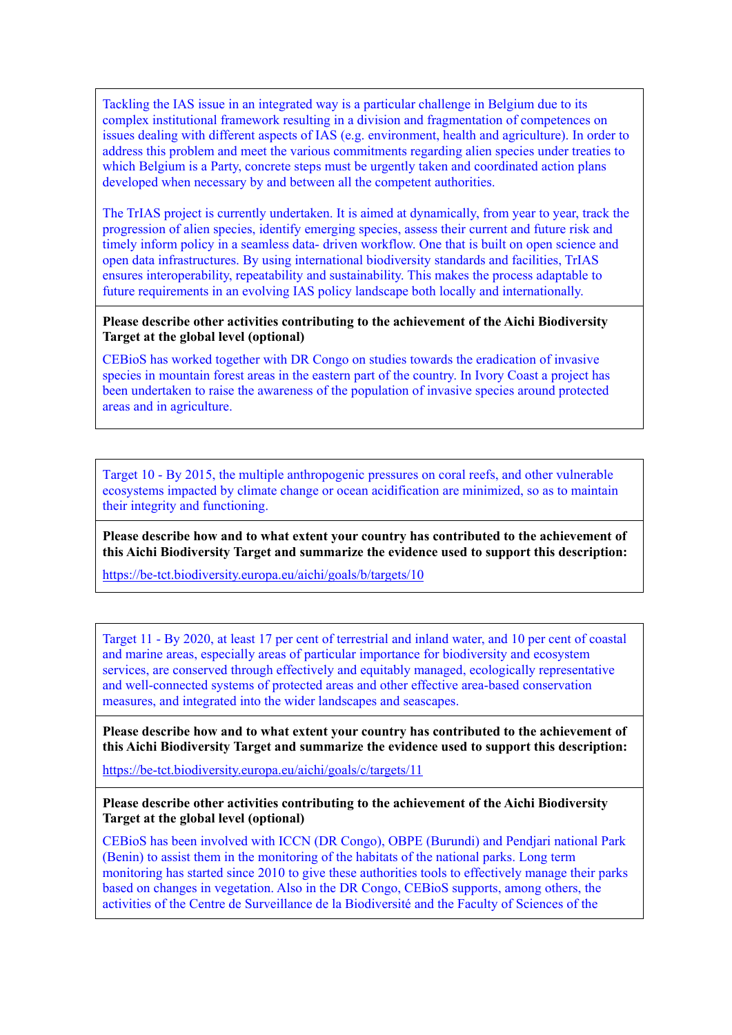Tackling the IAS issue in an integrated way is a particular challenge in Belgium due to its complex institutional framework resulting in a division and fragmentation of competences on issues dealing with different aspects of IAS (e.g. environment, health and agriculture). In order to address this problem and meet the various commitments regarding alien species under treaties to which Belgium is a Party, concrete steps must be urgently taken and coordinated action plans developed when necessary by and between all the competent authorities.

The TrIAS project is currently undertaken. It is aimed at dynamically, from year to year, track the progression of alien species, identify emerging species, assess their current and future risk and timely inform policy in a seamless data- driven workflow. One that is built on open science and open data infrastructures. By using international biodiversity standards and facilities, TrIAS ensures interoperability, repeatability and sustainability. This makes the process adaptable to future requirements in an evolving IAS policy landscape both locally and internationally.

**Please describe other activities contributing to the achievement of the Aichi Biodiversity Target at the global level (optional)**

CEBioS has worked together with DR Congo on studies towards the eradication of invasive species in mountain forest areas in the eastern part of the country. In Ivory Coast a project has been undertaken to raise the awareness of the population of invasive species around protected areas and in agriculture.

Target 10 - By 2015, the multiple anthropogenic pressures on coral reefs, and other vulnerable ecosystems impacted by climate change or ocean acidification are minimized, so as to maintain their integrity and functioning.

**Please describe how and to what extent your country has contributed to the achievement of this Aichi Biodiversity Target and summarize the evidence used to support this description:**

<https://be-tct.biodiversity.europa.eu/aichi/goals/b/targets/10>

Target 11 - By 2020, at least 17 per cent of terrestrial and inland water, and 10 per cent of coastal and marine areas, especially areas of particular importance for biodiversity and ecosystem services, are conserved through effectively and equitably managed, ecologically representative and well-connected systems of protected areas and other effective area-based conservation measures, and integrated into the wider landscapes and seascapes.

**Please describe how and to what extent your country has contributed to the achievement of this Aichi Biodiversity Target and summarize the evidence used to support this description:**

<https://be-tct.biodiversity.europa.eu/aichi/goals/c/targets/11>

**Please describe other activities contributing to the achievement of the Aichi Biodiversity Target at the global level (optional)**

CEBioS has been involved with ICCN (DR Congo), OBPE (Burundi) and Pendjari national Park (Benin) to assist them in the monitoring of the habitats of the national parks. Long term monitoring has started since 2010 to give these authorities tools to effectively manage their parks based on changes in vegetation. Also in the DR Congo, CEBioS supports, among others, the activities of the Centre de Surveillance de la Biodiversité and the Faculty of Sciences of the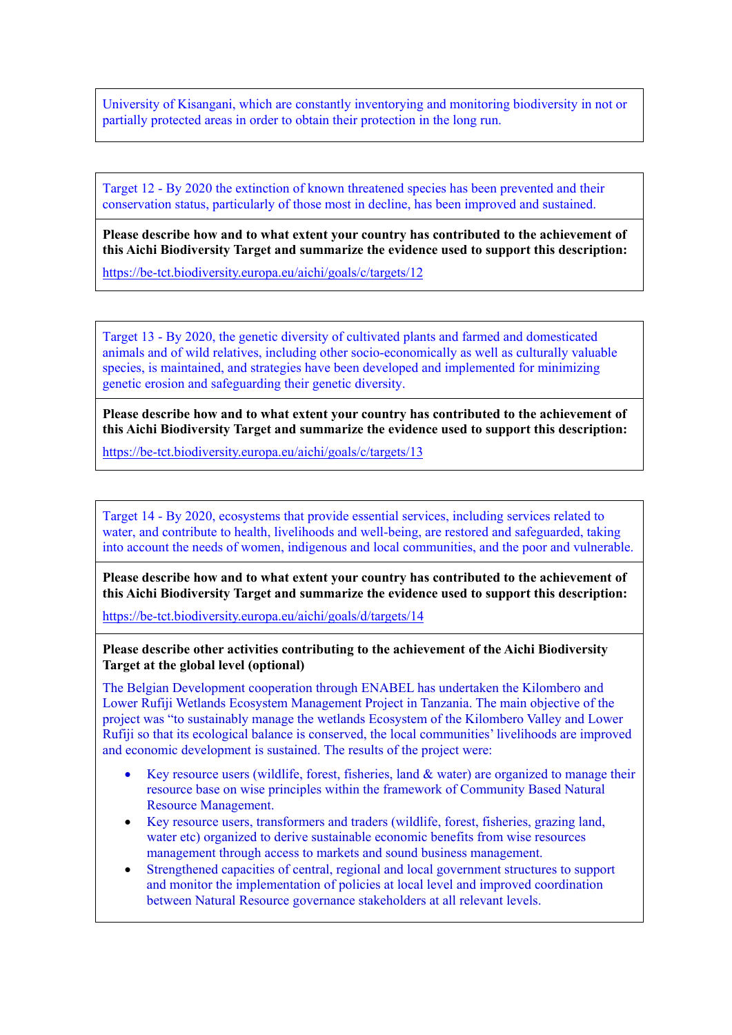University of Kisangani, which are constantly inventorying and monitoring biodiversity in not or partially protected areas in order to obtain their protection in the long run.

Target 12 - By 2020 the extinction of known threatened species has been prevented and their conservation status, particularly of those most in decline, has been improved and sustained.

**Please describe how and to what extent your country has contributed to the achievement of this Aichi Biodiversity Target and summarize the evidence used to support this description:**

<https://be-tct.biodiversity.europa.eu/aichi/goals/c/targets/12>

Target 13 - By 2020, the genetic diversity of cultivated plants and farmed and domesticated animals and of wild relatives, including other socio-economically as well as culturally valuable species, is maintained, and strategies have been developed and implemented for minimizing genetic erosion and safeguarding their genetic diversity.

**Please describe how and to what extent your country has contributed to the achievement of this Aichi Biodiversity Target and summarize the evidence used to support this description:**

<https://be-tct.biodiversity.europa.eu/aichi/goals/c/targets/13>

Target 14 - By 2020, ecosystems that provide essential services, including services related to water, and contribute to health, livelihoods and well-being, are restored and safeguarded, taking into account the needs of women, indigenous and local communities, and the poor and vulnerable.

**Please describe how and to what extent your country has contributed to the achievement of this Aichi Biodiversity Target and summarize the evidence used to support this description:**

<https://be-tct.biodiversity.europa.eu/aichi/goals/d/targets/14>

**Please describe other activities contributing to the achievement of the Aichi Biodiversity Target at the global level (optional)**

The Belgian Development cooperation through ENABEL has undertaken the Kilombero and Lower Rufiji Wetlands Ecosystem Management Project in Tanzania. The main objective of the project was "to sustainably manage the wetlands Ecosystem of the Kilombero Valley and Lower Rufiji so that its ecological balance is conserved, the local communities' livelihoods are improved and economic development is sustained. The results of the project were:

- Key resource users (wildlife, forest, fisheries, land & water) are organized to manage their resource base on wise principles within the framework of Community Based Natural Resource Management.
- Key resource users, transformers and traders (wildlife, forest, fisheries, grazing land, water etc) organized to derive sustainable economic benefits from wise resources management through access to markets and sound business management.
- Strengthened capacities of central, regional and local government structures to support and monitor the implementation of policies at local level and improved coordination between Natural Resource governance stakeholders at all relevant levels.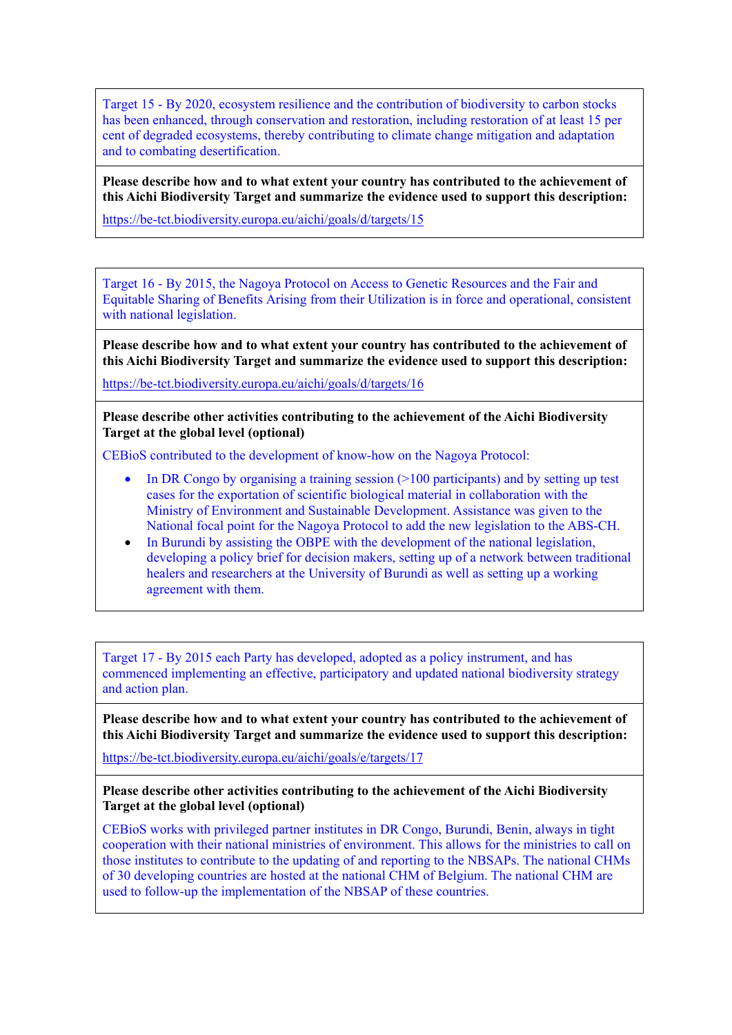Target 15 - By 2020, ecosystem resilience and the contribution of biodiversity to carbon stocks has been enhanced, through conservation and restoration, including restoration of at least 15 per cent of degraded ecosystems, thereby contributing to climate change mitigation and adaptation and to combating desertification.

**Please describe how and to what extent your country has contributed to the achievement of this Aichi Biodiversity Target and summarize the evidence used to support this description:**

<https://be-tct.biodiversity.europa.eu/aichi/goals/d/targets/15>

Target 16 - By 2015, the Nagoya Protocol on Access to Genetic Resources and the Fair and Equitable Sharing of Benefits Arising from their Utilization is in force and operational, consistent with national legislation.

**Please describe how and to what extent your country has contributed to the achievement of this Aichi Biodiversity Target and summarize the evidence used to support this description:**

<https://be-tct.biodiversity.europa.eu/aichi/goals/d/targets/16>

**Please describe other activities contributing to the achievement of the Aichi Biodiversity Target at the global level (optional)**

CEBioS contributed to the development of know-how on the Nagoya Protocol:

- In DR Congo by organising a training session  $(>=100$  participants) and by setting up test cases for the exportation of scientific biological material in collaboration with the Ministry of Environment and Sustainable Development. Assistance was given to the National focal point for the Nagoya Protocol to add the new legislation to the ABS-CH.
- In Burundi by assisting the OBPE with the development of the national legislation, developing a policy brief for decision makers, setting up of a network between traditional healers and researchers at the University of Burundi as well as setting up a working agreement with them.

Target 17 - By 2015 each Party has developed, adopted as a policy instrument, and has commenced implementing an effective, participatory and updated national biodiversity strategy and action plan.

**Please describe how and to what extent your country has contributed to the achievement of this Aichi Biodiversity Target and summarize the evidence used to support this description:**

<https://be-tct.biodiversity.europa.eu/aichi/goals/e/targets/17>

### **Please describe other activities contributing to the achievement of the Aichi Biodiversity Target at the global level (optional)**

CEBioS works with privileged partner institutes in DR Congo, Burundi, Benin, always in tight cooperation with their national ministries of environment. This allows for the ministries to call on those institutes to contribute to the updating of and reporting to the NBSAPs. The national CHMs of 30 developing countries are hosted at the national CHM of Belgium. The national CHM are used to follow-up the implementation of the NBSAP of these countries.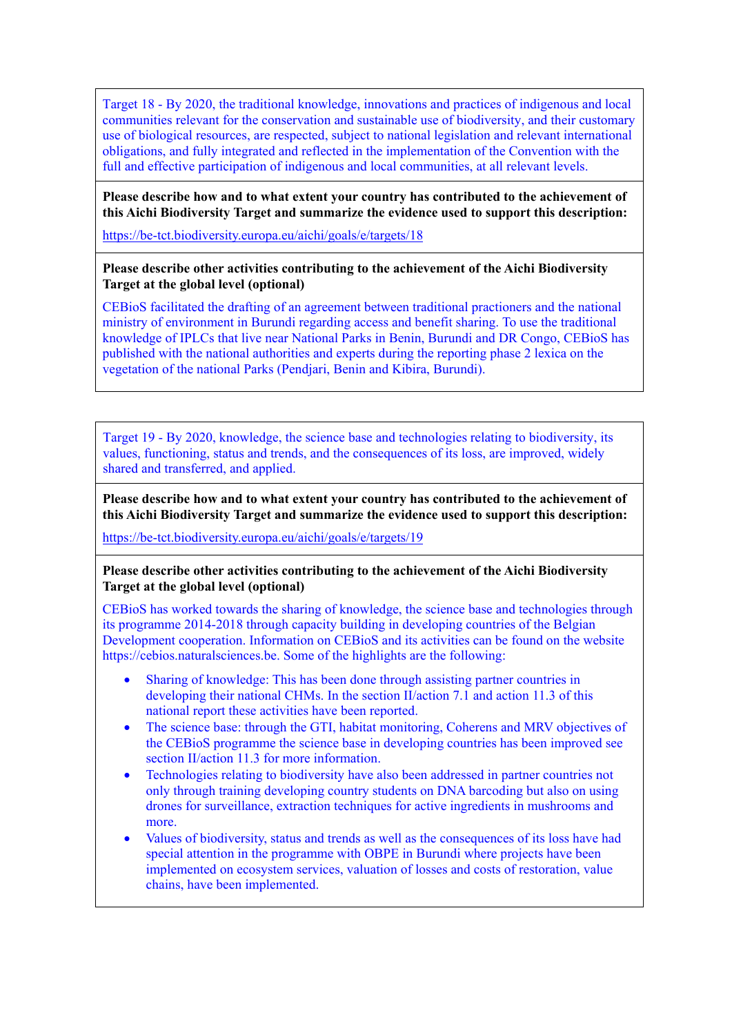Target 18 - By 2020, the traditional knowledge, innovations and practices of indigenous and local communities relevant for the conservation and sustainable use of biodiversity, and their customary use of biological resources, are respected, subject to national legislation and relevant international obligations, and fully integrated and reflected in the implementation of the Convention with the full and effective participation of indigenous and local communities, at all relevant levels.

# **Please describe how and to what extent your country has contributed to the achievement of this Aichi Biodiversity Target and summarize the evidence used to support this description:**

<https://be-tct.biodiversity.europa.eu/aichi/goals/e/targets/18>

### **Please describe other activities contributing to the achievement of the Aichi Biodiversity Target at the global level (optional)**

CEBioS facilitated the drafting of an agreement between traditional practioners and the national ministry of environment in Burundi regarding access and benefit sharing. To use the traditional knowledge of IPLCs that live near National Parks in Benin, Burundi and DR Congo, CEBioS has published with the national authorities and experts during the reporting phase 2 lexica on the vegetation of the national Parks (Pendjari, Benin and Kibira, Burundi).

Target 19 - By 2020, knowledge, the science base and technologies relating to biodiversity, its values, functioning, status and trends, and the consequences of its loss, are improved, widely shared and transferred, and applied.

**Please describe how and to what extent your country has contributed to the achievement of this Aichi Biodiversity Target and summarize the evidence used to support this description:**

<https://be-tct.biodiversity.europa.eu/aichi/goals/e/targets/19>

## **Please describe other activities contributing to the achievement of the Aichi Biodiversity Target at the global level (optional)**

CEBioS has worked towards the sharing of knowledge, the science base and technologies through its programme 2014-2018 through capacity building in developing countries of the Belgian Development cooperation. Information on CEBioS and its activities can be found on the website https://cebios.naturalsciences.be. Some of the highlights are the following:

- Sharing of knowledge: This has been done through assisting partner countries in developing their national CHMs. In the section II/action 7.1 and action 11.3 of this national report these activities have been reported.
- The science base: through the GTI, habitat monitoring, Coherens and MRV objectives of the CEBioS programme the science base in developing countries has been improved see section II/action 11.3 for more information.
- Technologies relating to biodiversity have also been addressed in partner countries not only through training developing country students on DNA barcoding but also on using drones for surveillance, extraction techniques for active ingredients in mushrooms and more.
- Values of biodiversity, status and trends as well as the consequences of its loss have had special attention in the programme with OBPE in Burundi where projects have been implemented on ecosystem services, valuation of losses and costs of restoration, value chains, have been implemented.